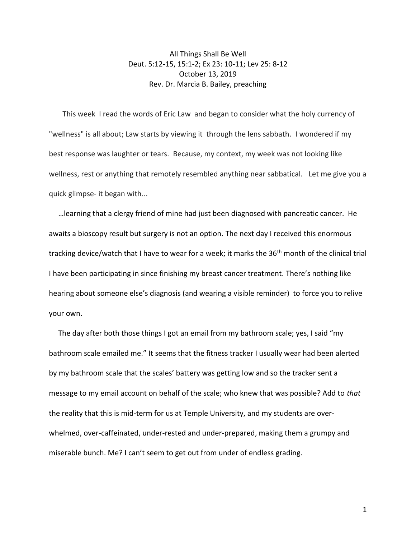All Things Shall Be Well Deut. 5:12-15, 15:1-2; Ex 23: 10-11; Lev 25: 8-12 October 13, 2019 Rev. Dr. Marcia B. Bailey, preaching

This week I read the words of Eric Law and began to consider what the holy currency of "wellness" is all about; Law starts by viewing it through the lens sabbath. I wondered if my best response was laughter or tears. Because, my context, my week was not looking like wellness, rest or anything that remotely resembled anything near sabbatical. Let me give you a quick glimpse- it began with...

 …learning that a clergy friend of mine had just been diagnosed with pancreatic cancer. He awaits a bioscopy result but surgery is not an option. The next day I received this enormous tracking device/watch that I have to wear for a week; it marks the 36<sup>th</sup> month of the clinical trial I have been participating in since finishing my breast cancer treatment. There's nothing like hearing about someone else's diagnosis (and wearing a visible reminder) to force you to relive your own.

 The day after both those things I got an email from my bathroom scale; yes, I said "my bathroom scale emailed me." It seems that the fitness tracker I usually wear had been alerted by my bathroom scale that the scales' battery was getting low and so the tracker sent a message to my email account on behalf of the scale; who knew that was possible? Add to *that* the reality that this is mid-term for us at Temple University, and my students are overwhelmed, over-caffeinated, under-rested and under-prepared, making them a grumpy and miserable bunch. Me? I can't seem to get out from under of endless grading.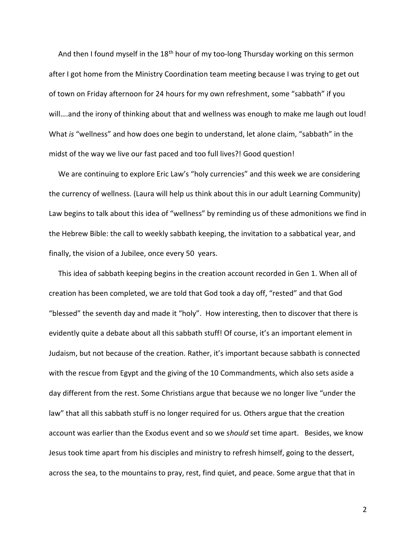And then I found myself in the 18<sup>th</sup> hour of my too-long Thursday working on this sermon after I got home from the Ministry Coordination team meeting because I was trying to get out of town on Friday afternoon for 24 hours for my own refreshment, some "sabbath" if you will….and the irony of thinking about that and wellness was enough to make me laugh out loud! What *is* "wellness" and how does one begin to understand, let alone claim, "sabbath" in the midst of the way we live our fast paced and too full lives?! Good question!

 We are continuing to explore Eric Law's "holy currencies" and this week we are considering the currency of wellness. (Laura will help us think about this in our adult Learning Community) Law begins to talk about this idea of "wellness" by reminding us of these admonitions we find in the Hebrew Bible: the call to weekly sabbath keeping, the invitation to a sabbatical year, and finally, the vision of a Jubilee, once every 50 years.

 This idea of sabbath keeping begins in the creation account recorded in Gen 1. When all of creation has been completed, we are told that God took a day off, "rested" and that God "blessed" the seventh day and made it "holy". How interesting, then to discover that there is evidently quite a debate about all this sabbath stuff! Of course, it's an important element in Judaism, but not because of the creation. Rather, it's important because sabbath is connected with the rescue from Egypt and the giving of the 10 Commandments, which also sets aside a day different from the rest. Some Christians argue that because we no longer live "under the law" that all this sabbath stuff is no longer required for us. Others argue that the creation account was earlier than the Exodus event and so we s*hould* set time apart. Besides, we know Jesus took time apart from his disciples and ministry to refresh himself, going to the dessert, across the sea, to the mountains to pray, rest, find quiet, and peace. Some argue that that in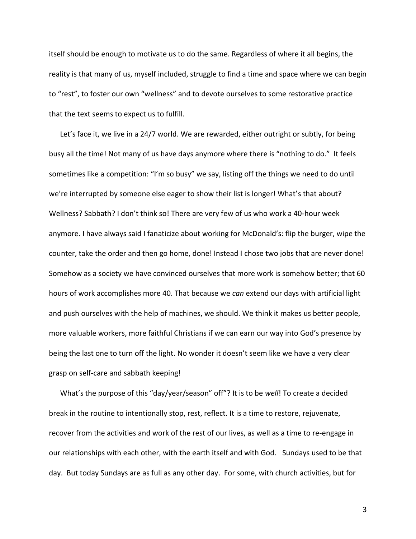itself should be enough to motivate us to do the same. Regardless of where it all begins, the reality is that many of us, myself included, struggle to find a time and space where we can begin to "rest", to foster our own "wellness" and to devote ourselves to some restorative practice that the text seems to expect us to fulfill.

 Let's face it, we live in a 24/7 world. We are rewarded, either outright or subtly, for being busy all the time! Not many of us have days anymore where there is "nothing to do." It feels sometimes like a competition: "I'm so busy" we say, listing off the things we need to do until we're interrupted by someone else eager to show their list is longer! What's that about? Wellness? Sabbath? I don't think so! There are very few of us who work a 40-hour week anymore. I have always said I fanaticize about working for McDonald's: flip the burger, wipe the counter, take the order and then go home, done! Instead I chose two jobs that are never done! Somehow as a society we have convinced ourselves that more work is somehow better; that 60 hours of work accomplishes more 40. That because we *can* extend our days with artificial light and push ourselves with the help of machines, we should. We think it makes us better people, more valuable workers, more faithful Christians if we can earn our way into God's presence by being the last one to turn off the light. No wonder it doesn't seem like we have a very clear grasp on self-care and sabbath keeping!

 What's the purpose of this "day/year/season" off"? It is to be *well*! To create a decided break in the routine to intentionally stop, rest, reflect. It is a time to restore, rejuvenate, recover from the activities and work of the rest of our lives, as well as a time to re-engage in our relationships with each other, with the earth itself and with God. Sundays used to be that day. But today Sundays are as full as any other day. For some, with church activities, but for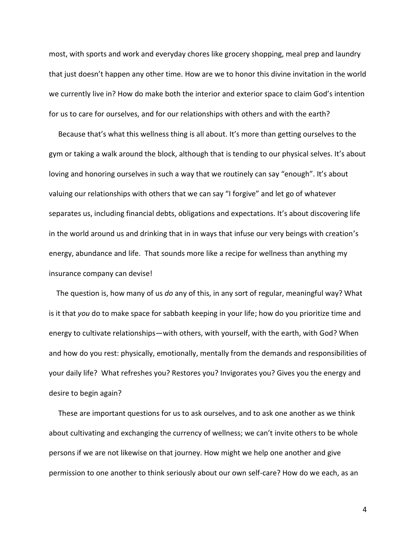most, with sports and work and everyday chores like grocery shopping, meal prep and laundry that just doesn't happen any other time. How are we to honor this divine invitation in the world we currently live in? How do make both the interior and exterior space to claim God's intention for us to care for ourselves, and for our relationships with others and with the earth?

 Because that's what this wellness thing is all about. It's more than getting ourselves to the gym or taking a walk around the block, although that is tending to our physical selves. It's about loving and honoring ourselves in such a way that we routinely can say "enough". It's about valuing our relationships with others that we can say "I forgive" and let go of whatever separates us, including financial debts, obligations and expectations. It's about discovering life in the world around us and drinking that in in ways that infuse our very beings with creation's energy, abundance and life. That sounds more like a recipe for wellness than anything my insurance company can devise!

 The question is, how many of us *do* any of this, in any sort of regular, meaningful way? What is it that *you* do to make space for sabbath keeping in your life; how do you prioritize time and energy to cultivate relationships—with others, with yourself, with the earth, with God? When and how do you rest: physically, emotionally, mentally from the demands and responsibilities of your daily life? What refreshes you? Restores you? Invigorates you? Gives you the energy and desire to begin again?

 These are important questions for us to ask ourselves, and to ask one another as we think about cultivating and exchanging the currency of wellness; we can't invite others to be whole persons if we are not likewise on that journey. How might we help one another and give permission to one another to think seriously about our own self-care? How do we each, as an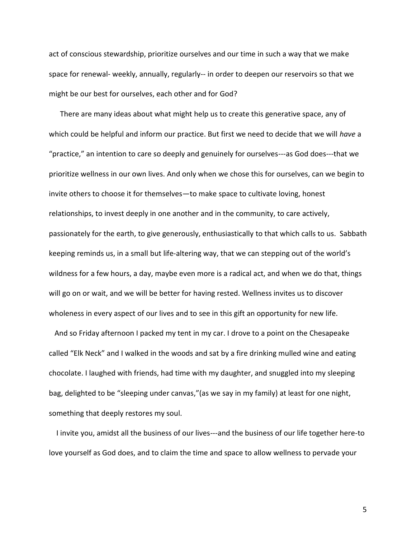act of conscious stewardship, prioritize ourselves and our time in such a way that we make space for renewal- weekly, annually, regularly-- in order to deepen our reservoirs so that we might be our best for ourselves, each other and for God?

 There are many ideas about what might help us to create this generative space, any of which could be helpful and inform our practice. But first we need to decide that we will *have* a "practice," an intention to care so deeply and genuinely for ourselves---as God does---that we prioritize wellness in our own lives. And only when we chose this for ourselves, can we begin to invite others to choose it for themselves—to make space to cultivate loving, honest relationships, to invest deeply in one another and in the community, to care actively, passionately for the earth, to give generously, enthusiastically to that which calls to us. Sabbath keeping reminds us, in a small but life-altering way, that we can stepping out of the world's wildness for a few hours, a day, maybe even more is a radical act, and when we do that, things will go on or wait, and we will be better for having rested. Wellness invites us to discover wholeness in every aspect of our lives and to see in this gift an opportunity for new life.

 And so Friday afternoon I packed my tent in my car. I drove to a point on the Chesapeake called "Elk Neck" and I walked in the woods and sat by a fire drinking mulled wine and eating chocolate. I laughed with friends, had time with my daughter, and snuggled into my sleeping bag, delighted to be "sleeping under canvas,"(as we say in my family) at least for one night, something that deeply restores my soul.

 I invite you, amidst all the business of our lives---and the business of our life together here-to love yourself as God does, and to claim the time and space to allow wellness to pervade your